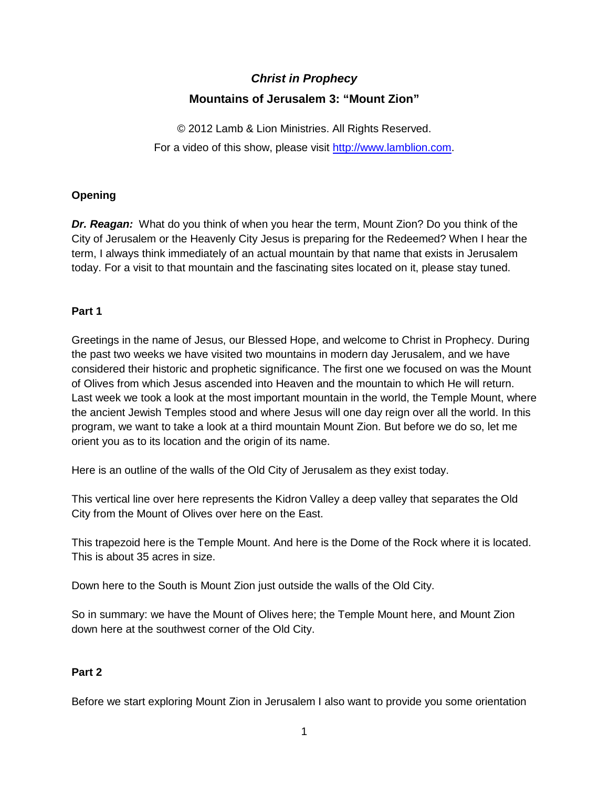# *Christ in Prophecy* **Mountains of Jerusalem 3: "Mount Zion"**

© 2012 Lamb & Lion Ministries. All Rights Reserved. For a video of this show, please visit [http://www.lamblion.com.](http://www.lamblion.com/)

# **Opening**

*Dr. Reagan:* What do you think of when you hear the term, Mount Zion? Do you think of the City of Jerusalem or the Heavenly City Jesus is preparing for the Redeemed? When I hear the term, I always think immediately of an actual mountain by that name that exists in Jerusalem today. For a visit to that mountain and the fascinating sites located on it, please stay tuned.

# **Part 1**

Greetings in the name of Jesus, our Blessed Hope, and welcome to Christ in Prophecy. During the past two weeks we have visited two mountains in modern day Jerusalem, and we have considered their historic and prophetic significance. The first one we focused on was the Mount of Olives from which Jesus ascended into Heaven and the mountain to which He will return. Last week we took a look at the most important mountain in the world, the Temple Mount, where the ancient Jewish Temples stood and where Jesus will one day reign over all the world. In this program, we want to take a look at a third mountain Mount Zion. But before we do so, let me orient you as to its location and the origin of its name.

Here is an outline of the walls of the Old City of Jerusalem as they exist today.

This vertical line over here represents the Kidron Valley a deep valley that separates the Old City from the Mount of Olives over here on the East.

This trapezoid here is the Temple Mount. And here is the Dome of the Rock where it is located. This is about 35 acres in size.

Down here to the South is Mount Zion just outside the walls of the Old City.

So in summary: we have the Mount of Olives here; the Temple Mount here, and Mount Zion down here at the southwest corner of the Old City.

# **Part 2**

Before we start exploring Mount Zion in Jerusalem I also want to provide you some orientation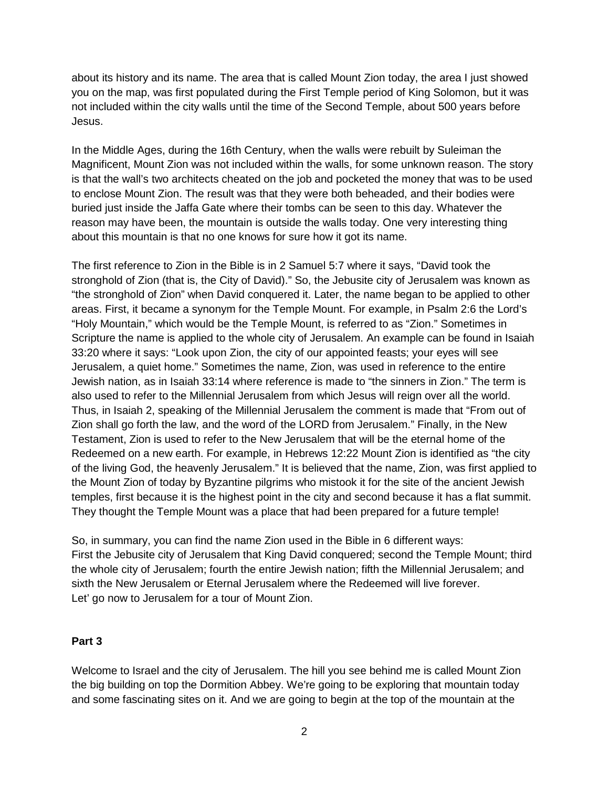about its history and its name. The area that is called Mount Zion today, the area I just showed you on the map, was first populated during the First Temple period of King Solomon, but it was not included within the city walls until the time of the Second Temple, about 500 years before Jesus.

In the Middle Ages, during the 16th Century, when the walls were rebuilt by Suleiman the Magnificent, Mount Zion was not included within the walls, for some unknown reason. The story is that the wall's two architects cheated on the job and pocketed the money that was to be used to enclose Mount Zion. The result was that they were both beheaded, and their bodies were buried just inside the Jaffa Gate where their tombs can be seen to this day. Whatever the reason may have been, the mountain is outside the walls today. One very interesting thing about this mountain is that no one knows for sure how it got its name.

The first reference to Zion in the Bible is in 2 Samuel 5:7 where it says, "David took the stronghold of Zion (that is, the City of David)." So, the Jebusite city of Jerusalem was known as "the stronghold of Zion" when David conquered it. Later, the name began to be applied to other areas. First, it became a synonym for the Temple Mount. For example, in Psalm 2:6 the Lord's "Holy Mountain," which would be the Temple Mount, is referred to as "Zion." Sometimes in Scripture the name is applied to the whole city of Jerusalem. An example can be found in Isaiah 33:20 where it says: "Look upon Zion, the city of our appointed feasts; your eyes will see Jerusalem, a quiet home." Sometimes the name, Zion, was used in reference to the entire Jewish nation, as in Isaiah 33:14 where reference is made to "the sinners in Zion." The term is also used to refer to the Millennial Jerusalem from which Jesus will reign over all the world. Thus, in Isaiah 2, speaking of the Millennial Jerusalem the comment is made that "From out of Zion shall go forth the law, and the word of the LORD from Jerusalem." Finally, in the New Testament, Zion is used to refer to the New Jerusalem that will be the eternal home of the Redeemed on a new earth. For example, in Hebrews 12:22 Mount Zion is identified as "the city of the living God, the heavenly Jerusalem." It is believed that the name, Zion, was first applied to the Mount Zion of today by Byzantine pilgrims who mistook it for the site of the ancient Jewish temples, first because it is the highest point in the city and second because it has a flat summit. They thought the Temple Mount was a place that had been prepared for a future temple!

So, in summary, you can find the name Zion used in the Bible in 6 different ways: First the Jebusite city of Jerusalem that King David conquered; second the Temple Mount; third the whole city of Jerusalem; fourth the entire Jewish nation; fifth the Millennial Jerusalem; and sixth the New Jerusalem or Eternal Jerusalem where the Redeemed will live forever. Let' go now to Jerusalem for a tour of Mount Zion.

# **Part 3**

Welcome to Israel and the city of Jerusalem. The hill you see behind me is called Mount Zion the big building on top the Dormition Abbey. We're going to be exploring that mountain today and some fascinating sites on it. And we are going to begin at the top of the mountain at the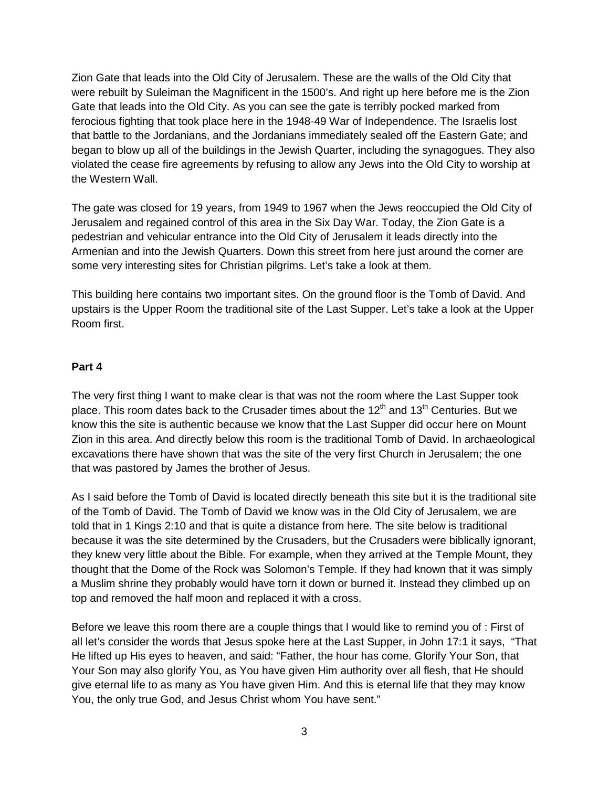Zion Gate that leads into the Old City of Jerusalem. These are the walls of the Old City that were rebuilt by Suleiman the Magnificent in the 1500's. And right up here before me is the Zion Gate that leads into the Old City. As you can see the gate is terribly pocked marked from ferocious fighting that took place here in the 1948-49 War of Independence. The Israelis lost that battle to the Jordanians, and the Jordanians immediately sealed off the Eastern Gate; and began to blow up all of the buildings in the Jewish Quarter, including the synagogues. They also violated the cease fire agreements by refusing to allow any Jews into the Old City to worship at the Western Wall.

The gate was closed for 19 years, from 1949 to 1967 when the Jews reoccupied the Old City of Jerusalem and regained control of this area in the Six Day War. Today, the Zion Gate is a pedestrian and vehicular entrance into the Old City of Jerusalem it leads directly into the Armenian and into the Jewish Quarters. Down this street from here just around the corner are some very interesting sites for Christian pilgrims. Let's take a look at them.

This building here contains two important sites. On the ground floor is the Tomb of David. And upstairs is the Upper Room the traditional site of the Last Supper. Let's take a look at the Upper Room first.

#### **Part 4**

The very first thing I want to make clear is that was not the room where the Last Supper took place. This room dates back to the Crusader times about the  $12<sup>th</sup>$  and  $13<sup>th</sup>$  Centuries. But we know this the site is authentic because we know that the Last Supper did occur here on Mount Zion in this area. And directly below this room is the traditional Tomb of David. In archaeological excavations there have shown that was the site of the very first Church in Jerusalem; the one that was pastored by James the brother of Jesus.

As I said before the Tomb of David is located directly beneath this site but it is the traditional site of the Tomb of David. The Tomb of David we know was in the Old City of Jerusalem, we are told that in 1 Kings 2:10 and that is quite a distance from here. The site below is traditional because it was the site determined by the Crusaders, but the Crusaders were biblically ignorant, they knew very little about the Bible. For example, when they arrived at the Temple Mount, they thought that the Dome of the Rock was Solomon's Temple. If they had known that it was simply a Muslim shrine they probably would have torn it down or burned it. Instead they climbed up on top and removed the half moon and replaced it with a cross.

Before we leave this room there are a couple things that I would like to remind you of : First of all let's consider the words that Jesus spoke here at the Last Supper, in John 17:1 it says, "That He lifted up His eyes to heaven, and said: "Father, the hour has come. Glorify Your Son, that Your Son may also glorify You, as You have given Him authority over all flesh, that He should give eternal life to as many as You have given Him. And this is eternal life that they may know You, the only true God, and Jesus Christ whom You have sent."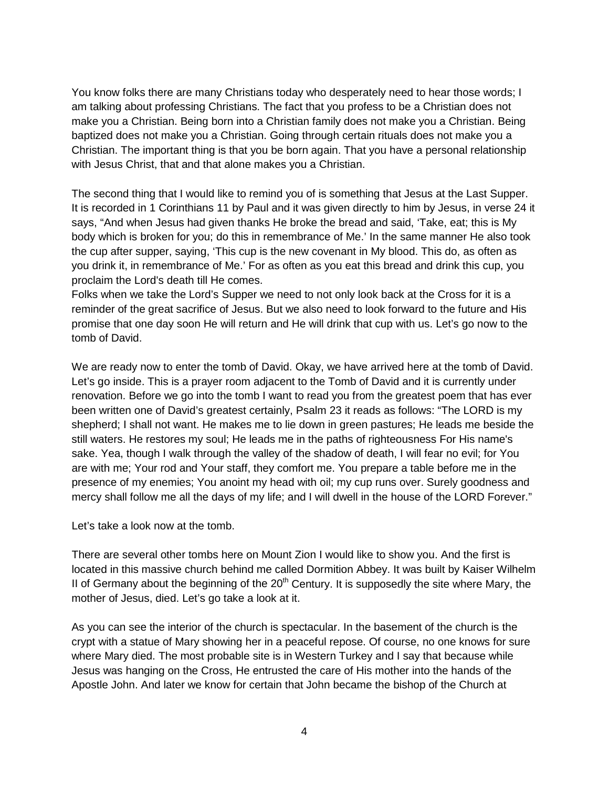You know folks there are many Christians today who desperately need to hear those words; I am talking about professing Christians. The fact that you profess to be a Christian does not make you a Christian. Being born into a Christian family does not make you a Christian. Being baptized does not make you a Christian. Going through certain rituals does not make you a Christian. The important thing is that you be born again. That you have a personal relationship with Jesus Christ, that and that alone makes you a Christian.

The second thing that I would like to remind you of is something that Jesus at the Last Supper. It is recorded in 1 Corinthians 11 by Paul and it was given directly to him by Jesus, in verse 24 it says, "And when Jesus had given thanks He broke the bread and said, 'Take, eat; this is My body which is broken for you; do this in remembrance of Me.' In the same manner He also took the cup after supper, saying, 'This cup is the new covenant in My blood. This do, as often as you drink it, in remembrance of Me.' For as often as you eat this bread and drink this cup, you proclaim the Lord's death till He comes.

Folks when we take the Lord's Supper we need to not only look back at the Cross for it is a reminder of the great sacrifice of Jesus. But we also need to look forward to the future and His promise that one day soon He will return and He will drink that cup with us. Let's go now to the tomb of David.

We are ready now to enter the tomb of David. Okay, we have arrived here at the tomb of David. Let's go inside. This is a prayer room adjacent to the Tomb of David and it is currently under renovation. Before we go into the tomb I want to read you from the greatest poem that has ever been written one of David's greatest certainly, Psalm 23 it reads as follows: "The LORD is my shepherd; I shall not want. He makes me to lie down in green pastures; He leads me beside the still waters. He restores my soul; He leads me in the paths of righteousness For His name's sake. Yea, though I walk through the valley of the shadow of death, I will fear no evil; for You are with me; Your rod and Your staff, they comfort me. You prepare a table before me in the presence of my enemies; You anoint my head with oil; my cup runs over. Surely goodness and mercy shall follow me all the days of my life; and I will dwell in the house of the LORD Forever."

Let's take a look now at the tomb.

There are several other tombs here on Mount Zion I would like to show you. And the first is located in this massive church behind me called Dormition Abbey. It was built by Kaiser Wilhelm II of Germany about the beginning of the  $20<sup>th</sup>$  Century. It is supposedly the site where Mary, the mother of Jesus, died. Let's go take a look at it.

As you can see the interior of the church is spectacular. In the basement of the church is the crypt with a statue of Mary showing her in a peaceful repose. Of course, no one knows for sure where Mary died. The most probable site is in Western Turkey and I say that because while Jesus was hanging on the Cross, He entrusted the care of His mother into the hands of the Apostle John. And later we know for certain that John became the bishop of the Church at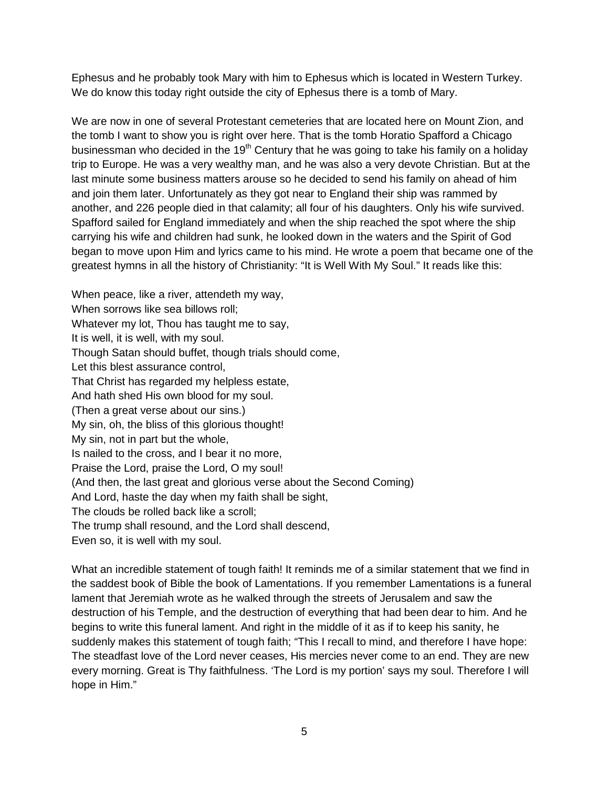Ephesus and he probably took Mary with him to Ephesus which is located in Western Turkey. We do know this today right outside the city of Ephesus there is a tomb of Mary.

We are now in one of several Protestant cemeteries that are located here on Mount Zion, and the tomb I want to show you is right over here. That is the tomb Horatio Spafford a Chicago businessman who decided in the 19<sup>th</sup> Century that he was going to take his family on a holiday trip to Europe. He was a very wealthy man, and he was also a very devote Christian. But at the last minute some business matters arouse so he decided to send his family on ahead of him and join them later. Unfortunately as they got near to England their ship was rammed by another, and 226 people died in that calamity; all four of his daughters. Only his wife survived. Spafford sailed for England immediately and when the ship reached the spot where the ship carrying his wife and children had sunk, he looked down in the waters and the Spirit of God began to move upon Him and lyrics came to his mind. He wrote a poem that became one of the greatest hymns in all the history of Christianity: "It is Well With My Soul." It reads like this:

When peace, like a river, attendeth my way, When sorrows like sea billows roll; Whatever my lot, Thou has taught me to say, It is well, it is well, with my soul. Though Satan should buffet, though trials should come, Let this blest assurance control, That Christ has regarded my helpless estate, And hath shed His own blood for my soul. (Then a great verse about our sins.) My sin, oh, the bliss of this glorious thought! My sin, not in part but the whole, Is nailed to the cross, and I bear it no more, Praise the Lord, praise the Lord, O my soul! (And then, the last great and glorious verse about the Second Coming) And Lord, haste the day when my faith shall be sight, The clouds be rolled back like a scroll; The trump shall resound, and the Lord shall descend, Even so, it is well with my soul.

What an incredible statement of tough faith! It reminds me of a similar statement that we find in the saddest book of Bible the book of Lamentations. If you remember Lamentations is a funeral lament that Jeremiah wrote as he walked through the streets of Jerusalem and saw the destruction of his Temple, and the destruction of everything that had been dear to him. And he begins to write this funeral lament. And right in the middle of it as if to keep his sanity, he suddenly makes this statement of tough faith; "This I recall to mind, and therefore I have hope: The steadfast love of the Lord never ceases, His mercies never come to an end. They are new every morning. Great is Thy faithfulness. 'The Lord is my portion' says my soul. Therefore I will hope in Him."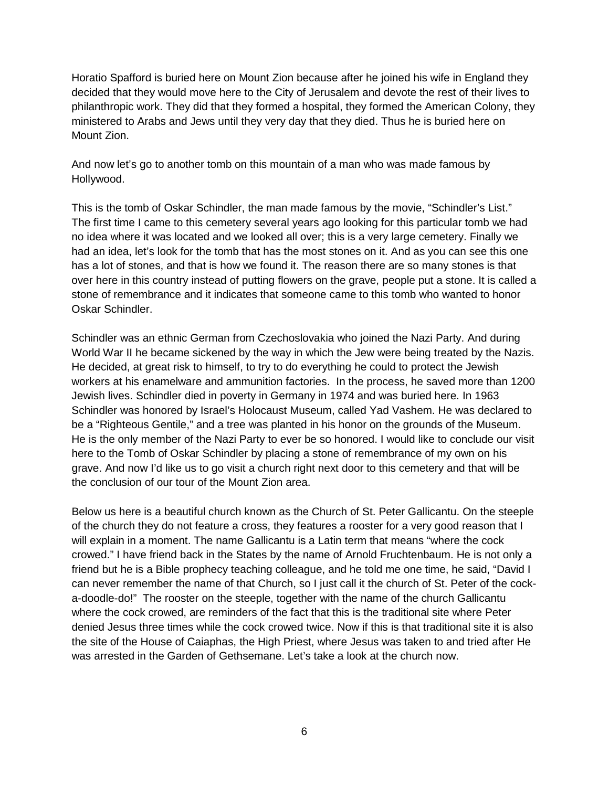Horatio Spafford is buried here on Mount Zion because after he joined his wife in England they decided that they would move here to the City of Jerusalem and devote the rest of their lives to philanthropic work. They did that they formed a hospital, they formed the American Colony, they ministered to Arabs and Jews until they very day that they died. Thus he is buried here on Mount Zion.

And now let's go to another tomb on this mountain of a man who was made famous by Hollywood.

This is the tomb of Oskar Schindler, the man made famous by the movie, "Schindler's List." The first time I came to this cemetery several years ago looking for this particular tomb we had no idea where it was located and we looked all over; this is a very large cemetery. Finally we had an idea, let's look for the tomb that has the most stones on it. And as you can see this one has a lot of stones, and that is how we found it. The reason there are so many stones is that over here in this country instead of putting flowers on the grave, people put a stone. It is called a stone of remembrance and it indicates that someone came to this tomb who wanted to honor Oskar Schindler.

Schindler was an ethnic German from Czechoslovakia who joined the Nazi Party. And during World War II he became sickened by the way in which the Jew were being treated by the Nazis. He decided, at great risk to himself, to try to do everything he could to protect the Jewish workers at his enamelware and ammunition factories. In the process, he saved more than 1200 Jewish lives. Schindler died in poverty in Germany in 1974 and was buried here. In 1963 Schindler was honored by Israel's Holocaust Museum, called Yad Vashem. He was declared to be a "Righteous Gentile," and a tree was planted in his honor on the grounds of the Museum. He is the only member of the Nazi Party to ever be so honored. I would like to conclude our visit here to the Tomb of Oskar Schindler by placing a stone of remembrance of my own on his grave. And now I'd like us to go visit a church right next door to this cemetery and that will be the conclusion of our tour of the Mount Zion area.

Below us here is a beautiful church known as the Church of St. Peter Gallicantu. On the steeple of the church they do not feature a cross, they features a rooster for a very good reason that I will explain in a moment. The name Gallicantu is a Latin term that means "where the cock crowed." I have friend back in the States by the name of Arnold Fruchtenbaum. He is not only a friend but he is a Bible prophecy teaching colleague, and he told me one time, he said, "David I can never remember the name of that Church, so I just call it the church of St. Peter of the cocka-doodle-do!" The rooster on the steeple, together with the name of the church Gallicantu where the cock crowed, are reminders of the fact that this is the traditional site where Peter denied Jesus three times while the cock crowed twice. Now if this is that traditional site it is also the site of the House of Caiaphas, the High Priest, where Jesus was taken to and tried after He was arrested in the Garden of Gethsemane. Let's take a look at the church now.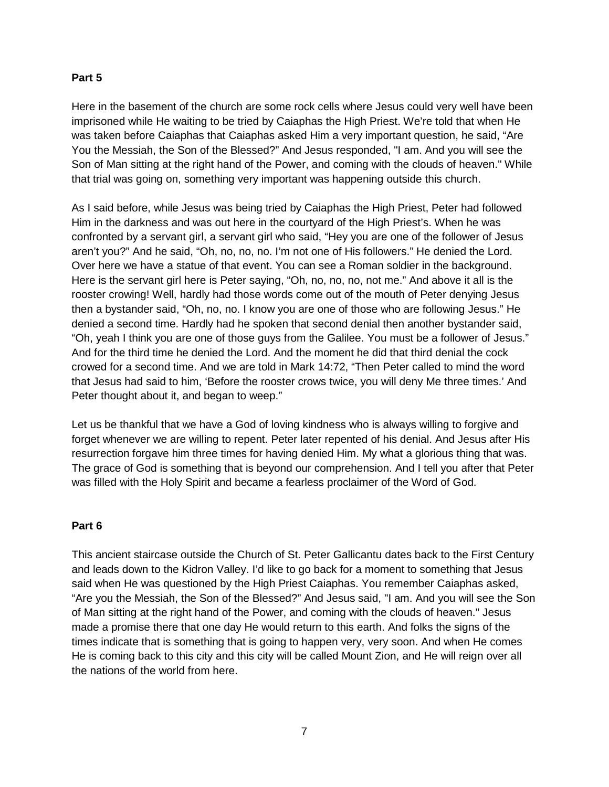# **Part 5**

Here in the basement of the church are some rock cells where Jesus could very well have been imprisoned while He waiting to be tried by Caiaphas the High Priest. We're told that when He was taken before Caiaphas that Caiaphas asked Him a very important question, he said, "Are You the Messiah, the Son of the Blessed?" And Jesus responded, "I am. And you will see the Son of Man sitting at the right hand of the Power, and coming with the clouds of heaven." While that trial was going on, something very important was happening outside this church.

As I said before, while Jesus was being tried by Caiaphas the High Priest, Peter had followed Him in the darkness and was out here in the courtyard of the High Priest's. When he was confronted by a servant girl, a servant girl who said, "Hey you are one of the follower of Jesus aren't you?" And he said, "Oh, no, no, no. I'm not one of His followers." He denied the Lord. Over here we have a statue of that event. You can see a Roman soldier in the background. Here is the servant girl here is Peter saying, "Oh, no, no, no, not me." And above it all is the rooster crowing! Well, hardly had those words come out of the mouth of Peter denying Jesus then a bystander said, "Oh, no, no. I know you are one of those who are following Jesus." He denied a second time. Hardly had he spoken that second denial then another bystander said, "Oh, yeah I think you are one of those guys from the Galilee. You must be a follower of Jesus." And for the third time he denied the Lord. And the moment he did that third denial the cock crowed for a second time. And we are told in Mark 14:72, "Then Peter called to mind the word that Jesus had said to him, 'Before the rooster crows twice, you will deny Me three times.' And Peter thought about it, and began to weep."

Let us be thankful that we have a God of loving kindness who is always willing to forgive and forget whenever we are willing to repent. Peter later repented of his denial. And Jesus after His resurrection forgave him three times for having denied Him. My what a glorious thing that was. The grace of God is something that is beyond our comprehension. And I tell you after that Peter was filled with the Holy Spirit and became a fearless proclaimer of the Word of God.

# **Part 6**

This ancient staircase outside the Church of St. Peter Gallicantu dates back to the First Century and leads down to the Kidron Valley. I'd like to go back for a moment to something that Jesus said when He was questioned by the High Priest Caiaphas. You remember Caiaphas asked, "Are you the Messiah, the Son of the Blessed?" And Jesus said, "I am. And you will see the Son of Man sitting at the right hand of the Power, and coming with the clouds of heaven." Jesus made a promise there that one day He would return to this earth. And folks the signs of the times indicate that is something that is going to happen very, very soon. And when He comes He is coming back to this city and this city will be called Mount Zion, and He will reign over all the nations of the world from here.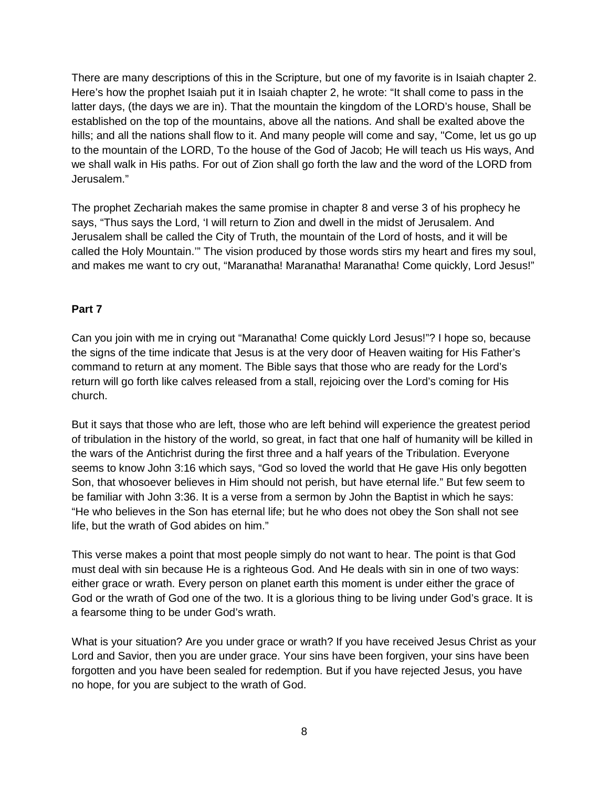There are many descriptions of this in the Scripture, but one of my favorite is in Isaiah chapter 2. Here's how the prophet Isaiah put it in Isaiah chapter 2, he wrote: "It shall come to pass in the latter days, (the days we are in). That the mountain the kingdom of the LORD's house, Shall be established on the top of the mountains, above all the nations. And shall be exalted above the hills; and all the nations shall flow to it. And many people will come and say, "Come, let us go up to the mountain of the LORD, To the house of the God of Jacob; He will teach us His ways, And we shall walk in His paths. For out of Zion shall go forth the law and the word of the LORD from Jerusalem."

The prophet Zechariah makes the same promise in chapter 8 and verse 3 of his prophecy he says, "Thus says the Lord, 'I will return to Zion and dwell in the midst of Jerusalem. And Jerusalem shall be called the City of Truth, the mountain of the Lord of hosts, and it will be called the Holy Mountain.'" The vision produced by those words stirs my heart and fires my soul, and makes me want to cry out, "Maranatha! Maranatha! Maranatha! Come quickly, Lord Jesus!"

# **Part 7**

Can you join with me in crying out "Maranatha! Come quickly Lord Jesus!"? I hope so, because the signs of the time indicate that Jesus is at the very door of Heaven waiting for His Father's command to return at any moment. The Bible says that those who are ready for the Lord's return will go forth like calves released from a stall, rejoicing over the Lord's coming for His church.

But it says that those who are left, those who are left behind will experience the greatest period of tribulation in the history of the world, so great, in fact that one half of humanity will be killed in the wars of the Antichrist during the first three and a half years of the Tribulation. Everyone seems to know John 3:16 which says, "God so loved the world that He gave His only begotten Son, that whosoever believes in Him should not perish, but have eternal life." But few seem to be familiar with John 3:36. It is a verse from a sermon by John the Baptist in which he says: "He who believes in the Son has eternal life; but he who does not obey the Son shall not see life, but the wrath of God abides on him."

This verse makes a point that most people simply do not want to hear. The point is that God must deal with sin because He is a righteous God. And He deals with sin in one of two ways: either grace or wrath. Every person on planet earth this moment is under either the grace of God or the wrath of God one of the two. It is a glorious thing to be living under God's grace. It is a fearsome thing to be under God's wrath.

What is your situation? Are you under grace or wrath? If you have received Jesus Christ as your Lord and Savior, then you are under grace. Your sins have been forgiven, your sins have been forgotten and you have been sealed for redemption. But if you have rejected Jesus, you have no hope, for you are subject to the wrath of God.